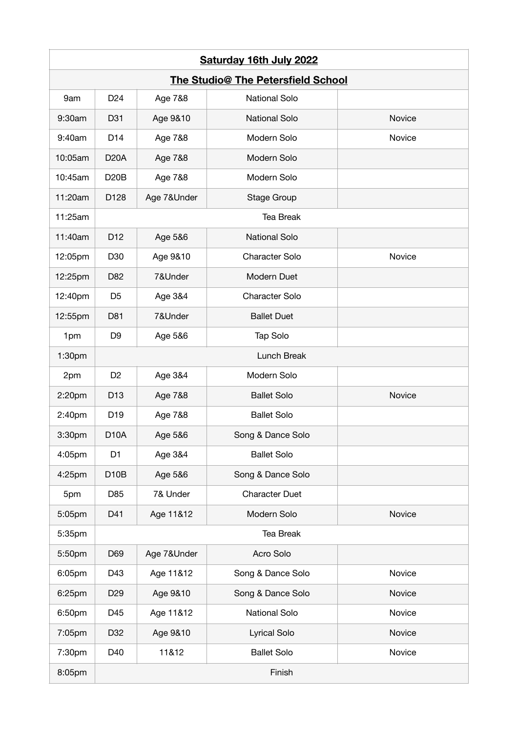|                                    | <b>Saturday 16th July 2022</b> |             |                       |        |  |  |
|------------------------------------|--------------------------------|-------------|-----------------------|--------|--|--|
| The Studio@ The Petersfield School |                                |             |                       |        |  |  |
| 9am                                | D <sub>24</sub>                | Age 7&8     | <b>National Solo</b>  |        |  |  |
| 9:30am                             | D31                            | Age 9&10    | <b>National Solo</b>  | Novice |  |  |
| 9:40am                             | D <sub>14</sub>                | Age 7&8     | Modern Solo           | Novice |  |  |
| 10:05am                            | <b>D20A</b>                    | Age 7&8     | Modern Solo           |        |  |  |
| 10:45am                            | <b>D20B</b>                    | Age 7&8     | Modern Solo           |        |  |  |
| 11:20am                            | D128                           | Age 7&Under | Stage Group           |        |  |  |
| 11:25am                            |                                |             | <b>Tea Break</b>      |        |  |  |
| 11:40am                            | D <sub>12</sub>                | Age 5&6     | <b>National Solo</b>  |        |  |  |
| 12:05pm                            | D30                            | Age 9&10    | <b>Character Solo</b> | Novice |  |  |
| 12:25pm                            | D82                            | 7&Under     | Modern Duet           |        |  |  |
| 12:40pm                            | D <sub>5</sub>                 | Age 3&4     | Character Solo        |        |  |  |
| 12:55pm                            | D81                            | 7&Under     | <b>Ballet Duet</b>    |        |  |  |
| 1pm                                | D <sub>9</sub>                 | Age 5&6     | Tap Solo              |        |  |  |
| 1:30pm                             |                                |             | Lunch Break           |        |  |  |
| 2pm                                | D <sub>2</sub>                 | Age 3&4     | Modern Solo           |        |  |  |
| 2:20pm                             | D <sub>13</sub>                | Age 7&8     | <b>Ballet Solo</b>    | Novice |  |  |
| 2:40pm                             | D <sub>19</sub>                | Age 7&8     | <b>Ballet Solo</b>    |        |  |  |
| 3:30pm                             | D <sub>10</sub> A              | Age 5&6     | Song & Dance Solo     |        |  |  |
| 4:05pm                             | D <sub>1</sub>                 | Age 3&4     | <b>Ballet Solo</b>    |        |  |  |
| 4:25pm                             | D <sub>10</sub> B              | Age 5&6     | Song & Dance Solo     |        |  |  |
| 5pm                                | D85                            | 7& Under    | <b>Character Duet</b> |        |  |  |
| 5:05pm                             | D41                            | Age 11&12   | Modern Solo           | Novice |  |  |
| 5:35pm                             |                                |             | Tea Break             |        |  |  |
| 5:50pm                             | D69                            | Age 7&Under | Acro Solo             |        |  |  |
| 6:05pm                             | D43                            | Age 11&12   | Song & Dance Solo     | Novice |  |  |
| 6:25pm                             | D <sub>29</sub>                | Age 9&10    | Song & Dance Solo     | Novice |  |  |
| 6:50pm                             | D45                            | Age 11&12   | National Solo         | Novice |  |  |
| 7:05pm                             | D32                            | Age 9&10    | Lyrical Solo          | Novice |  |  |
| 7:30pm                             | D40                            | 11&12       | <b>Ballet Solo</b>    | Novice |  |  |
| 8:05pm                             | Finish                         |             |                       |        |  |  |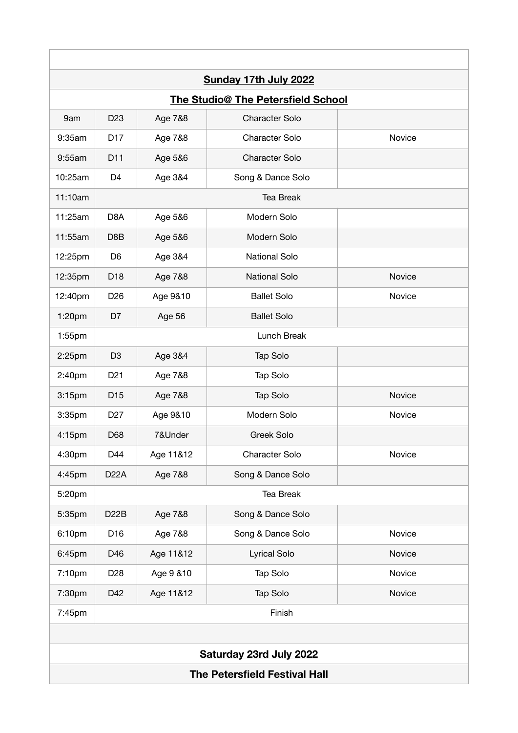|                                      |                   |            | Sunday 17th July 2022              |        |  |  |
|--------------------------------------|-------------------|------------|------------------------------------|--------|--|--|
|                                      |                   |            | The Studio@ The Petersfield School |        |  |  |
| 9am                                  | D <sub>23</sub>   | Age 7&8    | <b>Character Solo</b>              |        |  |  |
| 9:35am                               | D <sub>17</sub>   | Age 7&8    | <b>Character Solo</b>              | Novice |  |  |
| 9:55am                               | D11               | Age 5&6    | <b>Character Solo</b>              |        |  |  |
| 10:25am                              | D <sub>4</sub>    | Age 3&4    | Song & Dance Solo                  |        |  |  |
| 11:10am                              |                   |            | Tea Break                          |        |  |  |
| 11:25am                              | D <sub>8</sub> A  | Age 5&6    | Modern Solo                        |        |  |  |
| 11:55am                              | D8B               | Age 5&6    | Modern Solo                        |        |  |  |
| 12:25pm                              | D <sub>6</sub>    | Age 3&4    | <b>National Solo</b>               |        |  |  |
| 12:35pm                              | D <sub>18</sub>   | Age 7&8    | <b>National Solo</b>               | Novice |  |  |
| 12:40pm                              | D <sub>26</sub>   | Age 9&10   | <b>Ballet Solo</b>                 | Novice |  |  |
| 1:20pm                               | D7                | Age 56     | <b>Ballet Solo</b>                 |        |  |  |
| $1:55$ pm                            |                   |            | Lunch Break                        |        |  |  |
| 2:25pm                               | D <sub>3</sub>    | Age 3&4    | Tap Solo                           |        |  |  |
| 2:40pm                               | D <sub>21</sub>   | Age 7&8    | Tap Solo                           |        |  |  |
| 3:15pm                               | D <sub>15</sub>   | Age 7&8    | Tap Solo                           | Novice |  |  |
| 3:35pm                               | D <sub>27</sub>   | Age 9&10   | Modern Solo                        | Novice |  |  |
| 4:15pm                               | D68               | 7&Under    | <b>Greek Solo</b>                  |        |  |  |
| 4:30pm                               | D44               | Age 11&12  | Character Solo                     | Novice |  |  |
| 4:45pm                               | D <sub>22</sub> A | Age 7&8    | Song & Dance Solo                  |        |  |  |
| 5:20pm                               |                   |            | Tea Break                          |        |  |  |
| 5:35pm                               | D <sub>2</sub> 2B | Age 7&8    | Song & Dance Solo                  |        |  |  |
| 6:10pm                               | D16               | Age 7&8    | Song & Dance Solo                  | Novice |  |  |
| 6:45pm                               | D46               | Age 11&12  | Lyrical Solo                       | Novice |  |  |
| 7:10pm                               | D <sub>28</sub>   | Age 9 & 10 | Tap Solo                           | Novice |  |  |
| 7:30pm                               | D42               | Age 11&12  | Tap Solo                           | Novice |  |  |
| 7:45pm                               |                   |            | Finish                             |        |  |  |
|                                      |                   |            |                                    |        |  |  |
|                                      |                   |            | Saturday 23rd July 2022            |        |  |  |
| <b>The Petersfield Festival Hall</b> |                   |            |                                    |        |  |  |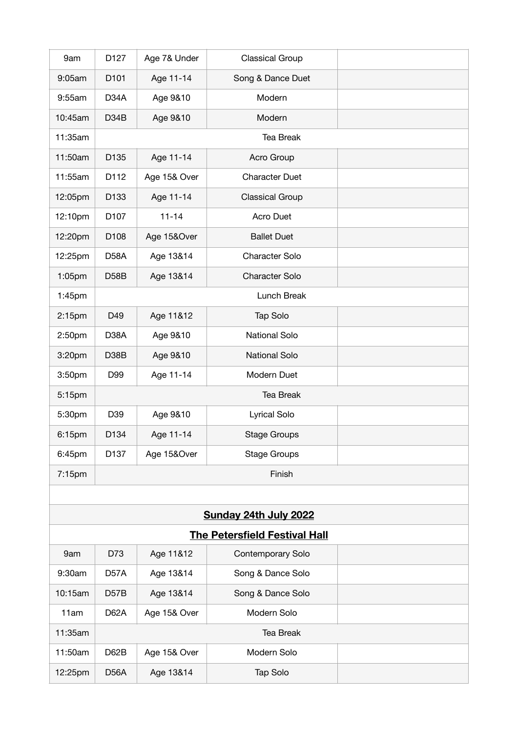| 9am       | D127              | Age 7& Under | <b>Classical Group</b> |  |  |  |
|-----------|-------------------|--------------|------------------------|--|--|--|
| 9:05am    | D101              | Age 11-14    | Song & Dance Duet      |  |  |  |
| 9:55am    | D <sub>34</sub> A | Age 9&10     | Modern                 |  |  |  |
| 10:45am   | D34B              | Age 9&10     | Modern                 |  |  |  |
| 11:35am   |                   |              | <b>Tea Break</b>       |  |  |  |
| 11:50am   | D135              | Age 11-14    | Acro Group             |  |  |  |
| 11:55am   | D112              | Age 15& Over | <b>Character Duet</b>  |  |  |  |
| 12:05pm   | D133              | Age 11-14    | <b>Classical Group</b> |  |  |  |
| 12:10pm   | D107              | $11 - 14$    | Acro Duet              |  |  |  |
| 12:20pm   | D108              | Age 15&Over  | <b>Ballet Duet</b>     |  |  |  |
| 12:25pm   | D <sub>58</sub> A | Age 13&14    | Character Solo         |  |  |  |
| 1:05pm    | D <sub>58</sub> B | Age 13&14    | Character Solo         |  |  |  |
| $1:45$ pm |                   | Lunch Break  |                        |  |  |  |
| 2:15pm    | D49               | Age 11&12    | Tap Solo               |  |  |  |
| 2:50pm    | D <sub>3</sub> 8A | Age 9&10     | <b>National Solo</b>   |  |  |  |
| 3:20pm    | D38B              | Age 9&10     | <b>National Solo</b>   |  |  |  |
| 3:50pm    | D99               | Age 11-14    | Modern Duet            |  |  |  |
| 5:15pm    |                   | Tea Break    |                        |  |  |  |
| 5:30pm    | D39               | Age 9&10     | Lyrical Solo           |  |  |  |
| 6:15pm    | D134              | Age 11-14    | <b>Stage Groups</b>    |  |  |  |
| 6:45pm    | D137              | Age 15&Over  | <b>Stage Groups</b>    |  |  |  |
| 7:15pm    |                   | Finish       |                        |  |  |  |
|           |                   |              |                        |  |  |  |

## **Sunday 24th July 2022**

| <b>The Petersfield Festival Hall</b> |                   |              |                   |  |  |
|--------------------------------------|-------------------|--------------|-------------------|--|--|
| 9am                                  | D73               | Age 11&12    | Contemporary Solo |  |  |
| 9:30am                               | D <sub>57</sub> A | Age 13&14    | Song & Dance Solo |  |  |
| 10:15am                              | <b>D57B</b>       | Age 13&14    | Song & Dance Solo |  |  |
| 11am                                 | <b>D62A</b>       | Age 15& Over | Modern Solo       |  |  |
| 11:35am                              | <b>Tea Break</b>  |              |                   |  |  |
| 11:50am                              | D62B              | Age 15& Over | Modern Solo       |  |  |
| 12:25pm                              | <b>D56A</b>       | Age 13&14    | Tap Solo          |  |  |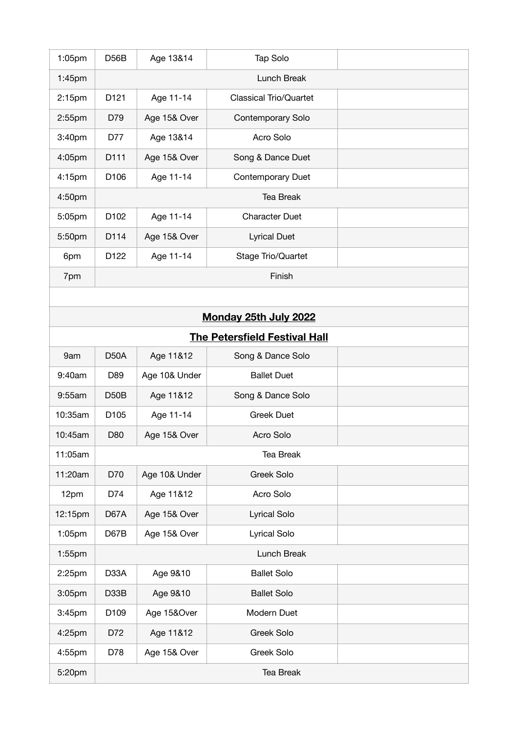| 1:05pm             | D <sub>56</sub> B | Age 13&14     | Tap Solo                             |  |
|--------------------|-------------------|---------------|--------------------------------------|--|
| 1:45pm             |                   |               | Lunch Break                          |  |
| 2:15 <sub>pm</sub> | D121              | Age 11-14     | <b>Classical Trio/Quartet</b>        |  |
| 2:55pm             | D79               | Age 15& Over  | Contemporary Solo                    |  |
| 3:40pm             | D77               | Age 13&14     | Acro Solo                            |  |
| 4:05pm             | D111              | Age 15& Over  | Song & Dance Duet                    |  |
| 4:15pm             | D106              | Age 11-14     | Contemporary Duet                    |  |
| 4:50pm             |                   |               | <b>Tea Break</b>                     |  |
| 5:05pm             | D102              | Age 11-14     | <b>Character Duet</b>                |  |
| 5:50pm             | D114              | Age 15& Over  | <b>Lyrical Duet</b>                  |  |
| 6pm                | D122              | Age 11-14     | Stage Trio/Quartet                   |  |
| 7pm                |                   |               | Finish                               |  |
|                    |                   |               |                                      |  |
|                    |                   |               | <b>Monday 25th July 2022</b>         |  |
|                    |                   |               | <b>The Petersfield Festival Hall</b> |  |
| 9am                | D <sub>50</sub> A | Age 11&12     | Song & Dance Solo                    |  |
| 9:40am             | D89               | Age 10& Under | <b>Ballet Duet</b>                   |  |
| 9:55am             | D <sub>50</sub> B | Age 11&12     | Song & Dance Solo                    |  |
| 10:35am            | D105              | Age 11-14     | <b>Greek Duet</b>                    |  |
| 10:45am            | D80               | Age 15& Over  | Acro Solo                            |  |
| 11:05am            |                   |               | Tea Break                            |  |
| 11:20am            | D70               | Age 10& Under | Greek Solo                           |  |
| 12pm               | D74               | Age 11&12     | Acro Solo                            |  |
| 12:15pm            | D67A              | Age 15& Over  | Lyrical Solo                         |  |
| 1:05pm             | D67B              | Age 15& Over  | Lyrical Solo                         |  |
| 1:55pm             |                   |               | Lunch Break                          |  |
| 2:25pm             | D33A              | Age 9&10      | <b>Ballet Solo</b>                   |  |
| 3:05pm             | D33B              | Age 9&10      | <b>Ballet Solo</b>                   |  |
| 3:45pm             | D109              | Age 15&Over   | Modern Duet                          |  |
| 4:25pm             | D72               | Age 11&12     | Greek Solo                           |  |
| 4:55pm             | D78               | Age 15& Over  | Greek Solo                           |  |
| 5:20pm             |                   |               | <b>Tea Break</b>                     |  |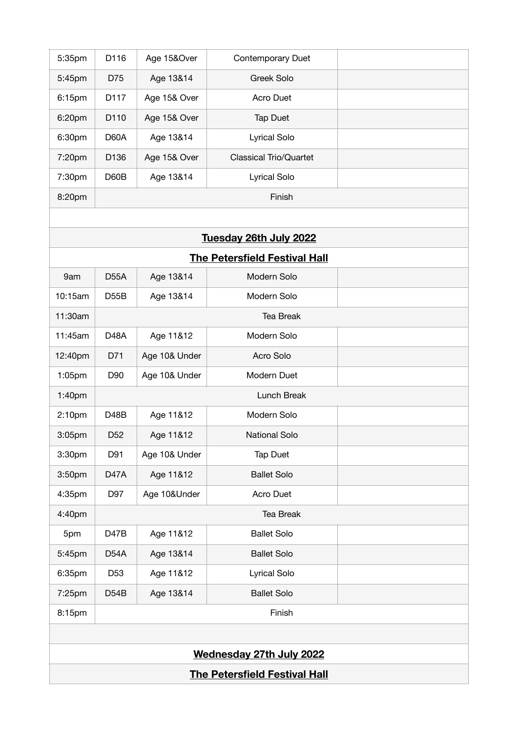| 8:20pm | Finish           |              |                               |  |  |
|--------|------------------|--------------|-------------------------------|--|--|
| 7:30pm | D60B             | Age 13&14    | <b>Lyrical Solo</b>           |  |  |
| 7:20pm | D <sub>136</sub> | Age 15& Over | <b>Classical Trio/Quartet</b> |  |  |
| 6:30pm | D60A             | Age 13&14    | <b>Lyrical Solo</b>           |  |  |
| 6:20pm | D <sub>110</sub> | Age 15& Over | <b>Tap Duet</b>               |  |  |
| 6:15pm | D <sub>117</sub> | Age 15& Over | Acro Duet                     |  |  |
| 5:45pm | D75              | Age 13&14    | Greek Solo                    |  |  |
| 5:35pm | D116             | Age 15&Over  | Contemporary Duet             |  |  |

| Tuesday 26th July 2022               |                   |               |                      |  |  |  |
|--------------------------------------|-------------------|---------------|----------------------|--|--|--|
| <b>The Petersfield Festival Hall</b> |                   |               |                      |  |  |  |
| 9am                                  | <b>D55A</b>       | Age 13&14     | Modern Solo          |  |  |  |
| 10:15am                              | D55B              | Age 13&14     | Modern Solo          |  |  |  |
| 11:30am                              |                   |               | Tea Break            |  |  |  |
| 11:45am                              | D <sub>48</sub> A | Age 11&12     | Modern Solo          |  |  |  |
| 12:40pm                              | D71               | Age 10& Under | Acro Solo            |  |  |  |
| 1:05pm                               | D90               | Age 10& Under | Modern Duet          |  |  |  |
| 1:40pm                               |                   |               | Lunch Break          |  |  |  |
| 2:10pm                               | D <sub>48</sub> B | Age 11&12     | Modern Solo          |  |  |  |
| 3:05pm                               | D <sub>52</sub>   | Age 11&12     | <b>National Solo</b> |  |  |  |
| 3:30pm                               | D91               | Age 10& Under | <b>Tap Duet</b>      |  |  |  |
| 3:50pm                               | <b>D47A</b>       | Age 11&12     | <b>Ballet Solo</b>   |  |  |  |
| 4:35pm                               | D97               | Age 10&Under  | Acro Duet            |  |  |  |
| 4:40pm                               |                   |               | Tea Break            |  |  |  |
| 5pm                                  | D <sub>47</sub> B | Age 11&12     | <b>Ballet Solo</b>   |  |  |  |
| 5:45pm                               | D54A              | Age 13&14     | <b>Ballet Solo</b>   |  |  |  |
| 6:35pm                               | D <sub>53</sub>   | Age 11&12     | Lyrical Solo         |  |  |  |
| 7:25pm                               | D54B              | Age 13&14     | <b>Ballet Solo</b>   |  |  |  |
| 8:15pm                               |                   |               | Finish               |  |  |  |
|                                      |                   |               |                      |  |  |  |
|                                      |                   |               |                      |  |  |  |

**Wednesday 27th July 2022**

## **The Petersfield Festival Hall**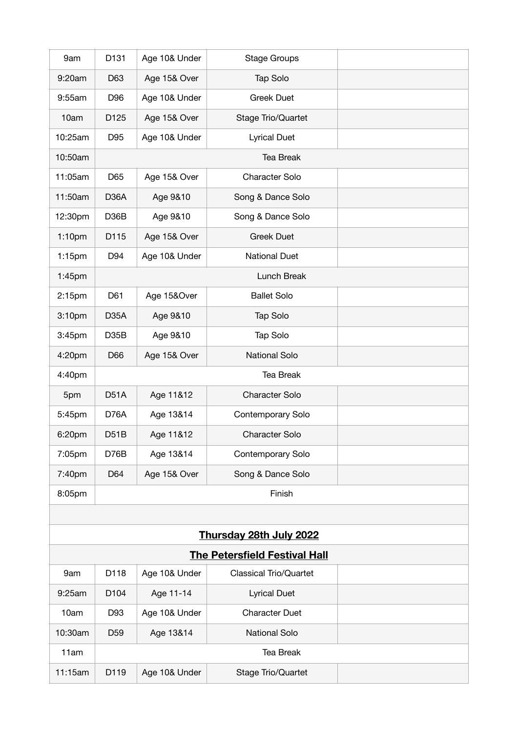| 9am                | D131              | Age 10& Under | <b>Stage Groups</b>   |  |
|--------------------|-------------------|---------------|-----------------------|--|
| 9:20am             | D63               | Age 15& Over  | Tap Solo              |  |
| 9:55am             | D96               | Age 10& Under | <b>Greek Duet</b>     |  |
| 10am               | D125              | Age 15& Over  | Stage Trio/Quartet    |  |
| 10:25am            | D95               | Age 10& Under | <b>Lyrical Duet</b>   |  |
| 10:50am            |                   |               | <b>Tea Break</b>      |  |
| 11:05am            | D65               | Age 15& Over  | Character Solo        |  |
| 11:50am            | D <sub>36</sub> A | Age 9&10      | Song & Dance Solo     |  |
| 12:30pm            | D36B              | Age 9&10      | Song & Dance Solo     |  |
| 1:10 <sub>pm</sub> | D115              | Age 15& Over  | <b>Greek Duet</b>     |  |
| $1:15$ pm          | D94               | Age 10& Under | <b>National Duet</b>  |  |
| 1:45 <sub>pm</sub> |                   |               | Lunch Break           |  |
| 2:15pm             | D61               | Age 15&Over   | <b>Ballet Solo</b>    |  |
| 3:10pm             | D <sub>35</sub> A | Age 9&10      | Tap Solo              |  |
| 3:45pm             | D <sub>35</sub> B | Age 9&10      | Tap Solo              |  |
| 4:20pm             | D66               | Age 15& Over  | National Solo         |  |
| 4:40pm             |                   |               | Tea Break             |  |
| 5pm                | D <sub>51</sub> A | Age 11&12     | <b>Character Solo</b> |  |
| 5:45pm             | D76A              | Age 13&14     | Contemporary Solo     |  |
| 6:20pm             | D <sub>5</sub> 1B | Age 11&12     | <b>Character Solo</b> |  |
| 7:05pm             | D76B              | Age 13&14     | Contemporary Solo     |  |
| 7:40pm             | D64               | Age 15& Over  | Song & Dance Solo     |  |
| 8:05pm             |                   |               | Finish                |  |
|                    |                   |               |                       |  |

| Thursday 28th July 2022              |                  |               |                        |  |  |  |
|--------------------------------------|------------------|---------------|------------------------|--|--|--|
| <b>The Petersfield Festival Hall</b> |                  |               |                        |  |  |  |
| 9am                                  | D <sub>118</sub> | Age 10& Under | Classical Trio/Quartet |  |  |  |
| 9:25am                               | D <sub>104</sub> | Age 11-14     | <b>Lyrical Duet</b>    |  |  |  |
| 10am                                 | D93              | Age 10& Under | <b>Character Duet</b>  |  |  |  |
| 10:30am                              | D <sub>59</sub>  | Age 13&14     | National Solo          |  |  |  |
| 11am                                 |                  | Tea Break     |                        |  |  |  |
| 11:15am                              | D <sub>119</sub> | Age 10& Under | Stage Trio/Quartet     |  |  |  |